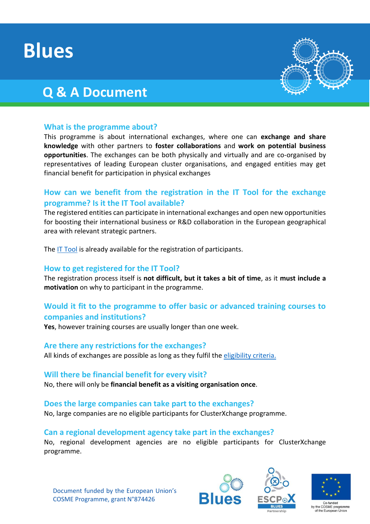# **Blues**

# **Q & A Document**



# **What is the programme about?**

This programme is about international exchanges, where one can **exchange and share knowledge** with other partners to **foster collaborations** and **work on potential business opportunities**. The exchanges can be both physically and virtually and are co-organised by representatives of leading European cluster organisations, and engaged entities may get financial benefit for participation in physical exchanges

# **How can we benefit from the registration in the IT Tool for the exchange programme? Is it the IT Tool available?**

The registered entities can participate in international exchanges and open new opportunities for boosting their international business or R&D collaboration in the European geographical area with relevant strategic partners.

Th[e IT Tool](https://www.clustercollaboration.eu/news/clusterxchange-scheme-starts-virtually-explore-new-it-tool) is already available for the registration of participants.

# **How to get registered for the IT Tool?**

The registration process itself is **not difficult, but it takes a bit of time**, as it **must include a motivation** on why to participant in the programme.

# **Would it fit to the programme to offer basic or advanced training courses to companies and institutions?**

**Yes**, however training courses are usually longer than one week.

#### **Are there any restrictions for the exchanges?**

All kinds of exchanges are possible as long as they fulfil the [eligibility criteria.](https://www.clustercollaboration.eu/clusterxchange)

#### **Will there be financial benefit for every visit?**

No, there will only be **financial benefit as a visiting organisation once**.

#### **Does the large companies can take part to the exchanges?**

No, large companies are no eligible participants for ClusterXchange programme.

# **Can a regional development agency take part in the exchanges?**

No, regional development agencies are no eligible participants for ClusterXchange programme.

Document funded by the European Union's COSME Programme, grant N°874426







COSME programme European Unior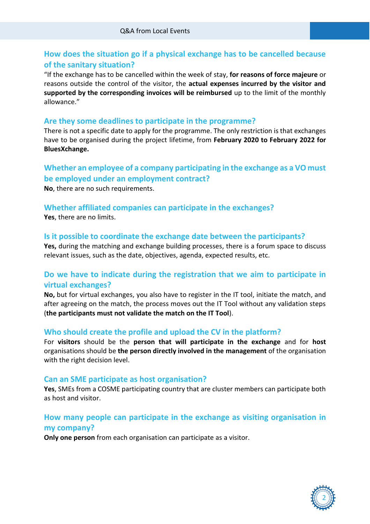# **How does the situation go if a physical exchange has to be cancelled because of the sanitary situation?**

"If the exchange has to be cancelled within the week of stay, **for reasons of force majeure** or reasons outside the control of the visitor, the **actual expenses incurred by the visitor and supported by the corresponding invoices will be reimbursed** up to the limit of the monthly allowance."

#### **Are they some deadlines to participate in the programme?**

There is not a specific date to apply for the programme. The only restriction is that exchanges have to be organised during the project lifetime, from **February 2020 to February 2022 for BluesXchange.**

# **Whether an employee of a company participating in the exchange as a VO must be employed under an employment contract?**

**No**, there are no such requirements.

# **Whether affiliated companies can participate in the exchanges?**

**Yes**, there are no limits.

#### **Is it possible to coordinate the exchange date between the participants?**

**Yes,** during the matching and exchange building processes, there is a forum space to discuss relevant issues, such as the date, objectives, agenda, expected results, etc.

# **Do we have to indicate during the registration that we aim to participate in virtual exchanges?**

**No,** but for virtual exchanges, you also have to register in the IT tool, initiate the match, and after agreeing on the match, the process moves out the IT Tool without any validation steps (**the participants must not validate the match on the IT Tool**).

# **Who should create the profile and upload the CV in the platform?**

For **visitors** should be the **person that will participate in the exchange** and for **host**  organisations should be **the person directly involved in the management** of the organisation with the right decision level.

#### **Can an SME participate as host organisation?**

**Yes**, SMEs from a COSME participating country that are cluster members can participate both as host and visitor.

# **How many people can participate in the exchange as visiting organisation in my company?**

**Only one person** from each organisation can participate as a visitor.